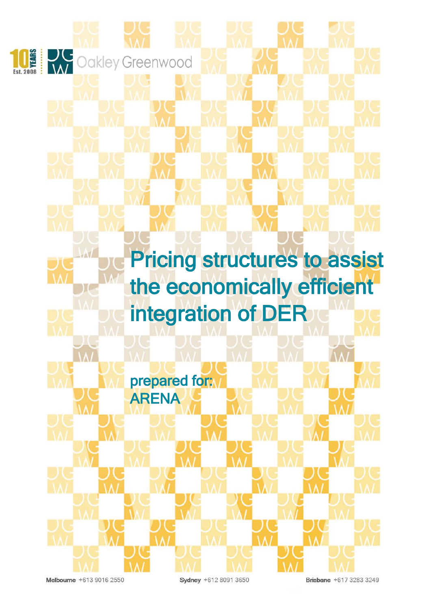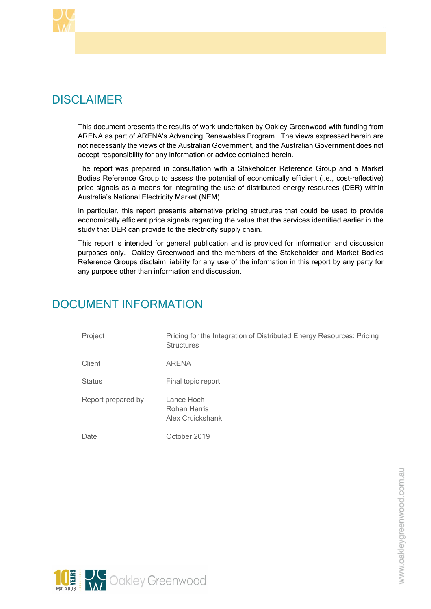

# DISCLAIMER

This document presents the results of work undertaken by Oakley Greenwood with funding from ARENA as part of ARENA's Advancing Renewables Program. The views expressed herein are not necessarily the views of the Australian Government, and the Australian Government does not accept responsibility for any information or advice contained herein.

The report was prepared in consultation with a Stakeholder Reference Group and a Market Bodies Reference Group to assess the potential of economically efficient (i.e., cost-reflective) price signals as a means for integrating the use of distributed energy resources (DER) within Australia's National Electricity Market (NEM).

In particular, this report presents alternative pricing structures that could be used to provide economically efficient price signals regarding the value that the services identified earlier in the study that DER can provide to the electricity supply chain.

This report is intended for general publication and is provided for information and discussion purposes only. Oakley Greenwood and the members of the Stakeholder and Market Bodies Reference Groups disclaim liability for any use of the information in this report by any party for any purpose other than information and discussion.

# DOCUMENT INFORMATION

| Project            | Pricing for the Integration of Distributed Energy Resources: Pricing<br><b>Structures</b> |
|--------------------|-------------------------------------------------------------------------------------------|
| Client             | ARENA                                                                                     |
| <b>Status</b>      | Final topic report                                                                        |
| Report prepared by | Lance Hoch<br>Rohan Harris<br>Alex Cruickshank                                            |
| Date               | October 2019                                                                              |

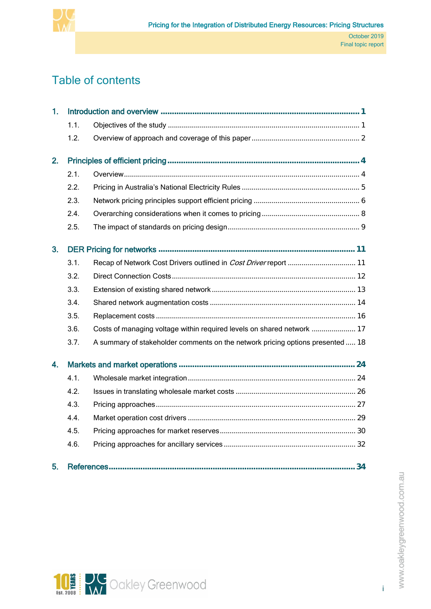

# Table of contents

| 1. |      |                                                                                |    |
|----|------|--------------------------------------------------------------------------------|----|
|    | 1.1. |                                                                                |    |
|    | 1.2. |                                                                                |    |
| 2. |      |                                                                                |    |
|    | 2.1. |                                                                                |    |
|    | 2.2. |                                                                                |    |
|    | 2.3. |                                                                                |    |
|    | 2.4. |                                                                                |    |
|    | 2.5. |                                                                                |    |
| 3. |      |                                                                                |    |
|    | 3.1. |                                                                                |    |
|    | 3.2. |                                                                                |    |
|    | 3.3. |                                                                                |    |
|    | 3.4. |                                                                                |    |
|    | 3.5. |                                                                                |    |
|    | 3.6. | Costs of managing voltage within required levels on shared network  17         |    |
|    | 3.7. | A summary of stakeholder comments on the network pricing options presented  18 |    |
| 4. |      |                                                                                |    |
|    | 4.1. |                                                                                |    |
|    | 4.2. |                                                                                |    |
|    | 4.3. |                                                                                |    |
|    | 4.4. |                                                                                |    |
|    | 4.5. |                                                                                |    |
|    | 4.6. |                                                                                |    |
| 5. |      |                                                                                | 34 |



i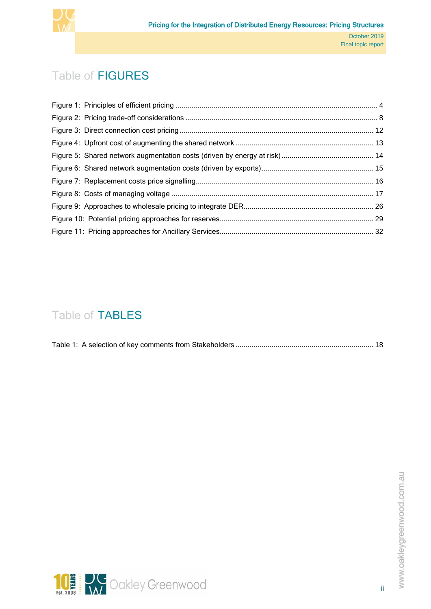

# Table of FIGURES

# Table of TABLES

|--|

ii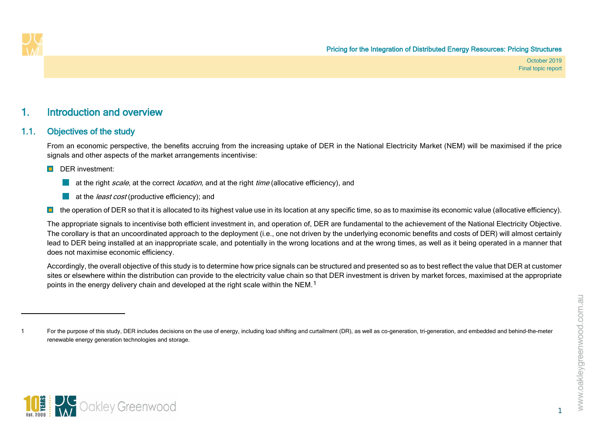<span id="page-4-2"></span>

## 1. Introduction and overview

### 1.1. Objectives of the study

From an economic perspective, the benefits accruing from the increasing uptake of DER in the National Electricity Market (NEM) will be maximised if the price signals and other aspects of the market arrangements incentivise:

#### DER investment:

- at the right scale, at the correct location, and at the right time (allocative efficiency), and
- **at the** *least cost* (productive efficiency); and

**I** the operation of DER so that it is allocated to its highest value use in its location at any specific time, so as to maximise its economic value (allocative efficiency).

The appropriate signals to incentivise both efficient investment in, and operation of, DER are fundamental to the achievement of the National Electricity Objective. The corollary is that an uncoordinated approach to the deployment (i.e., one not driven by the underlying economic benefits and costs of DER) will almost certainly lead to DER being installed at an inappropriate scale, and potentially in the wrong locations and at the wrong times, as well as it being operated in a manner that does not maximise economic efficiency.

<span id="page-4-0"></span>Accordingly, the overall objective of this study is to determine how price signals can be structured and presented so as to best reflect the value that DER at customer sites or elsewhere within the distribution can provide to the electricity value chain so that DER investment is driven by market forces, maximised at the appropriate points in the energy delivery chain and developed at the right scale within the NEM.<sup>[1](#page-4-2)</sup>

1



<span id="page-4-1"></span><sup>1</sup> For the purpose of this study, DER includes decisions on the use of energy, including load shifting and curtailment (DR), as well as co-generation, tri-generation, and embedded and behind-the-meter renewable energy generation technologies and storage.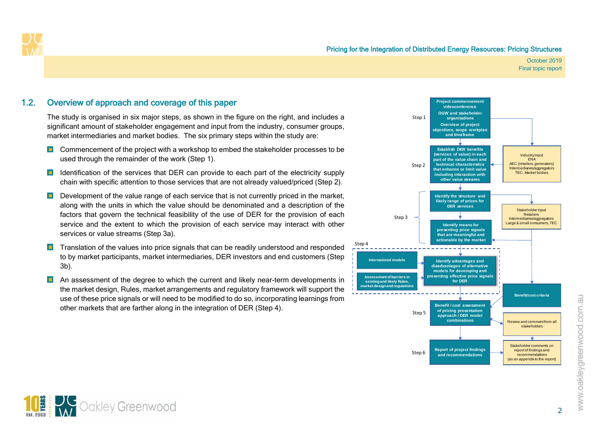

### 1.2. Overview of approach and coverage of this paper

The study is organised in six major steps, as shown in the figure on the right, and includes a significant amount of stakeholder engagement and input from the industry, consumer groups, market intermediaries and market bodies. The six primary steps within the study are:

- $\Box$  Commencement of the project with a workshop to embed the stakeholder processes to be used through the remainder of the work (Step 1).
- **ID** Identification of the services that DER can provide to each part of the electricity supply chain with specific attention to those services that are not already valued/priced (Step 2).
- D Development of the value range of each service that is not currently priced in the market, along with the units in which the value should be denominated and a description of the factors that govern the technical feasibility of the use of DER for the provision of each service and the extent to which the provision of each service may interact with other services or value streams (Step 3a).
- $\Box$  Translation of the values into price signals that can be readily understood and responded to by market participants, market intermediaries, DER investors and end customers (Step 3b).
- <span id="page-5-0"></span>**D** An assessment of the degree to which the current and likely near-term developments in the market design, Rules, market arrangements and regulatory framework will support the use of these price signals or will need to be modified to do so, incorporating learnings from other markets that are farther along in the integration of DER (Step 4).



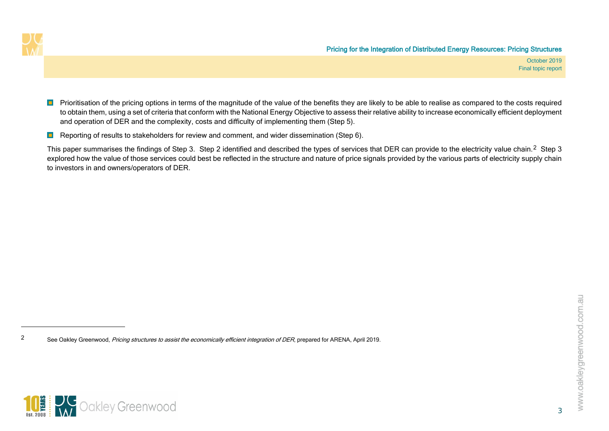<span id="page-6-0"></span>

- **P** Prioritisation of the pricing options in terms of the magnitude of the value of the benefits they are likely to be able to realise as compared to the costs required to obtain them, using a set of criteria that conform with the National Energy Objective to assess their relative ability to increase economically efficient deployment and operation of DER and the complexity, costs and difficulty of implementing them (Step 5).
- **Reporting of results to stakeholders for review and comment, and wider dissemination (Step 6).**

This paper summarises the findings of Step 3. Step [2](#page-6-0) identified and described the types of services that DER can provide to the electricity value chain.<sup>2</sup> Step 3 explored how the value of those services could best be reflected in the structure and nature of price signals provided by the various parts of electricity supply chain to investors in and owners/operators of DER.

<sup>&</sup>lt;sup>2</sup> See Oakley Greenwood, *Pricing structures to assist the economically efficient integration of DER*, prepared for ARENA, April 2019.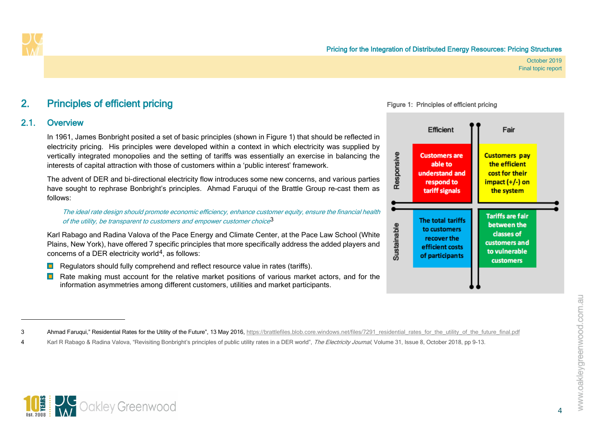

<span id="page-7-4"></span><span id="page-7-3"></span><span id="page-7-2"></span>Figure 1: Principles of efficient pricing

October 2019 Final topic report

## <span id="page-7-5"></span>2. Principles of efficient pricing

### 2.1. Overview

In 1961, James Bonbright posited a set of basic principles (shown in [Figure 1\)](#page-7-2) that should be reflected in electricity pricing. His principles were developed within a context in which electricity was supplied by vertically integrated monopolies and the setting of tariffs was essentially an exercise in balancing the interests of capital attraction with those of customers within a 'public interest' framework.

The advent of DER and bi-directional electricity flow introduces some new concerns, and various parties have sought to rephrase Bonbright's principles. Ahmad Faruqui of the Brattle Group re-cast them as follows:

The ideal rate design should promote economic efficiency, enhance customer equity, ensure the financial health of the utility, be transparent to customers and empower customer choice $3$ 

Karl Rabago and Radina Valova of the Pace Energy and Climate Center, at the Pace Law School (White Plains, New York), have offered 7 specific principles that more specifically address the added players and concerns of a DER electricity world<sup>4</sup>, as follows:

- $\blacksquare$  Regulators should fully comprehend and reflect resource value in rates (tariffs).
- <span id="page-7-1"></span><span id="page-7-0"></span>Rate making must account for the relative market positions of various market actors, and for the information asymmetries among different customers, utilities and market participants.



3 Ahmad Faruqui," Residential Rates for the Utility of the Future", 13 May 2016, [https://brattlefiles.blob.core.windows.net/files/7291\\_residential\\_rates\\_for\\_the\\_utility\\_of\\_the\\_future\\_final.pdf](https://brattlefiles.blob.core.windows.net/files/7291_residential_rates_for_the_utility_of_the_future_final.pdf)

Karl R Rabago & Radina Valova, "Revisiting Bonbright's principles of public utility rates in a DER world", The Electricity Journal, Volume 31, Issue 8, October 2018, pp 9-13.

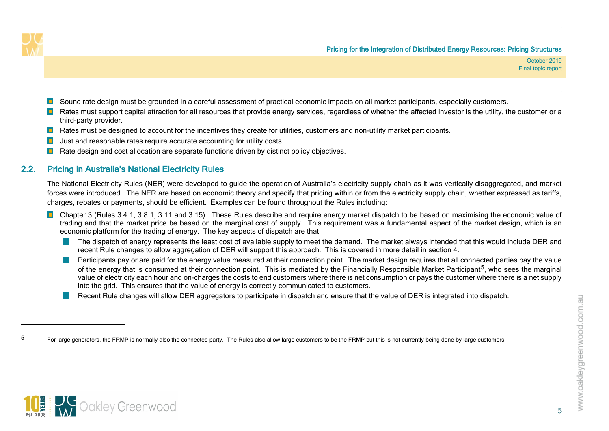<span id="page-8-1"></span>

- **D** Sound rate design must be grounded in a careful assessment of practical economic impacts on all market participants, especially customers.
- **Rates must support capital attraction for all resources that provide energy services, regardless of whether the affected investor is the utility, the customer or a** third-party provider.
- **Rates must be designed to account for the incentives they create for utilities, customers and non-utility market participants.**
- $\blacksquare$ Just and reasonable rates require accurate accounting for utility costs.
- **Rate design and cost allocation are separate functions driven by distinct policy objectives.**

### 2.2. Pricing in Australia's National Electricity Rules

The National Electricity Rules (NER) were developed to guide the operation of Australia's electricity supply chain as it was vertically disaggregated, and market forces were introduced. The NER are based on economic theory and specify that pricing within or from the electricity supply chain, whether expressed as tariffs, charges, rebates or payments, should be efficient. Examples can be found throughout the Rules including:

- Chapter 3 (Rules 3.4.1, 3.8.1, 3.11 and 3.15). These Rules describe and require energy market dispatch to be based on maximising the economic value of trading and that the market price be based on the marginal cost of supply. This requirement was a fundamental aspect of the market design, which is an economic platform for the trading of energy. The key aspects of dispatch are that:
	- The dispatch of energy represents the least cost of available supply to meet the demand. The market always intended that this would include DER and recent Rule changes to allow aggregation of DER will support this approach. This is covered in more detail in section [4.](#page-27-2)
	- Participants pay or are paid for the energy value measured at their connection point. The market design requires that all connected parties pay the value of the energy that is consumed at their connection point. This is mediated by the Financially Responsible Market Participant<sup>5</sup>, who sees the marginal value of electricity each hour and on-charges the costs to end customers where there is net consumption or pays the customer where there is a net supply into the grid. This ensures that the value of energy is correctly communicated to customers.
	- Recent Rule changes will allow DER aggregators to participate in dispatch and ensure that the value of DER is integrated into dispatch.



<span id="page-8-0"></span><sup>&</sup>lt;sup>5</sup> For large generators, the FRMP is normally also the connected party. The Rules also allow large customers to be the FRMP but this is not currently being done by large customers.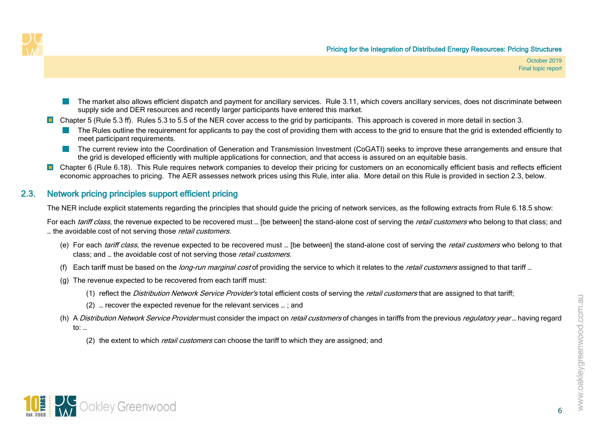

- The market also allows efficient dispatch and payment for ancillary services. Rule 3.11, which covers ancillary services, does not discriminate between supply side and DER resources and recently larger participants have entered this market.
- Chapter 5 (Rule 5.3 ff). Rules 5.3 to 5.5 of the NER cover access to the grid by participants. This approach is covered in more detail in section [3.](#page-14-2)
	- The Rules outline the requirement for applicants to pay the cost of providing them with access to the grid to ensure that the grid is extended efficiently to meet participant requirements.
	- The current review into the Coordination of Generation and Transmission Investment (CoGATI) seeks to improve these arrangements and ensure that the grid is developed efficiently with multiple applications for connection, and that access is assured on an equitable basis.
- <span id="page-9-1"></span>**D** Chapter 6 (Rule 6.18). This Rule requires network companies to develop their pricing for customers on an economically efficient basis and reflects efficient economic approaches to pricing. The AER assesses network prices using this Rule, inter alia. More detail on this Rule is provided in section [2.3,](#page-9-1) below.

### 2.3. Network pricing principles support efficient pricing

The NER include explicit statements regarding the principles that should guide the pricing of network services, as the following extracts from Rule 6.18.5 show:

For each tariff class, the revenue expected to be recovered must ... [be between] the stand-alone cost of serving the retail customers who belong to that class; and ... the avoidable cost of not serving those *retail customers*.

- (e) For each *tariff class*, the revenue expected to be recovered must ... [be between] the stand-alone cost of serving the *retail customers* who belong to that class; and ... the avoidable cost of not serving those retail customers.
- (f) Each tariff must be based on the *long-run marginal cost* of providing the service to which it relates to the *retail customers* assigned to that tariff ...
- (g) The revenue expected to be recovered from each tariff must:
	- (1) reflect the Distribution Network Service Provider's total efficient costs of serving the retail customers that are assigned to that tariff;
	- (2) … recover the expected revenue for the relevant services … ; and
- (h) A Distribution Network Service Provider must consider the impact on retail customers of changes in tariffs from the previous regulatory year... having regard to: …
	- (2) the extent to which *retail customers* can choose the tariff to which they are assigned; and



<span id="page-9-0"></span>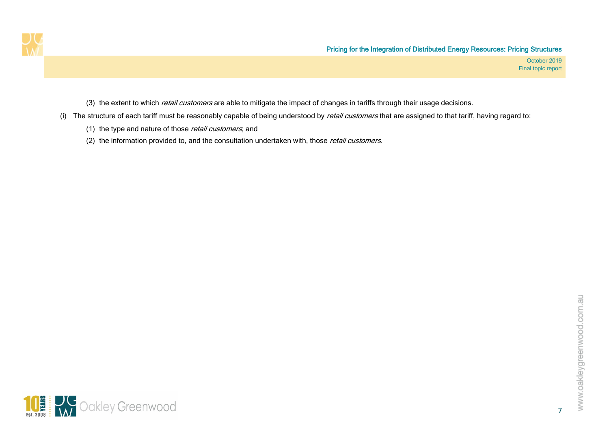

- (3) the extent to which *retail customers* are able to mitigate the impact of changes in tariffs through their usage decisions.
- (i) The structure of each tariff must be reasonably capable of being understood by *retail customers* that are assigned to that tariff, having regard to:
	- (1) the type and nature of those *retail customers*; and
	- (2) the information provided to, and the consultation undertaken with, those retail customers.

7

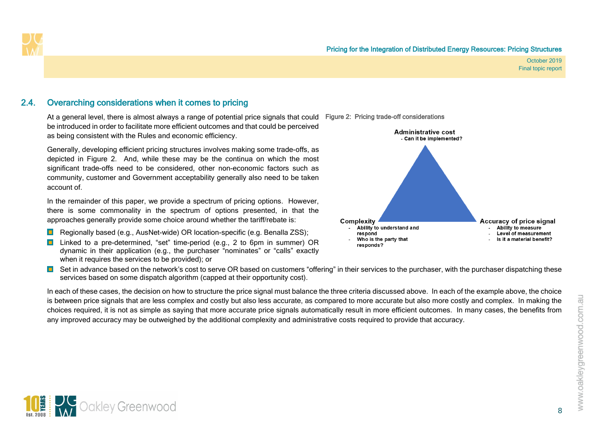

### 2.4. Overarching considerations when it comes to pricing

At a general level, there is almost always a range of potential price signals that could Figure 2: Pricing trade-off considerations be introduced in order to facilitate more efficient outcomes and that could be perceived as being consistent with the Rules and economic efficiency.

Generally, developing efficient pricing structures involves making some trade-offs, as depicted in [Figure 2.](#page-11-1) And, while these may be the continua on which the most significant trade-offs need to be considered, other non-economic factors such as community, customer and Government acceptability generally also need to be taken account of.

In the remainder of this paper, we provide a spectrum of pricing options. However, there is some commonality in the spectrum of options presented, in that the approaches generally provide some choice around whether the tariff/rebate is:

- **Regionally based (e.g., AusNet-wide) OR location-specific (e.g. Benalla ZSS);**
- Linked to a pre-determined, "set" time-period (e.g., 2 to 6pm in summer) OR dynamic in their application (e.g., the purchaser "nominates" or "calls" exactly when it requires the services to be provided); or

<span id="page-11-1"></span>

<span id="page-11-0"></span>**D** Set in advance based on the network's cost to serve OR based on customers "offering" in their services to the purchaser, with the purchaser dispatching these services based on some dispatch algorithm (capped at their opportunity cost).

In each of these cases, the decision on how to structure the price signal must balance the three criteria discussed above. In each of the example above, the choice is between price signals that are less complex and costly but also less accurate, as compared to more accurate but also more costly and complex. In making the choices required, it is not as simple as saying that more accurate price signals automatically result in more efficient outcomes. In many cases, the benefits from any improved accuracy may be outweighed by the additional complexity and administrative costs required to provide that accuracy.

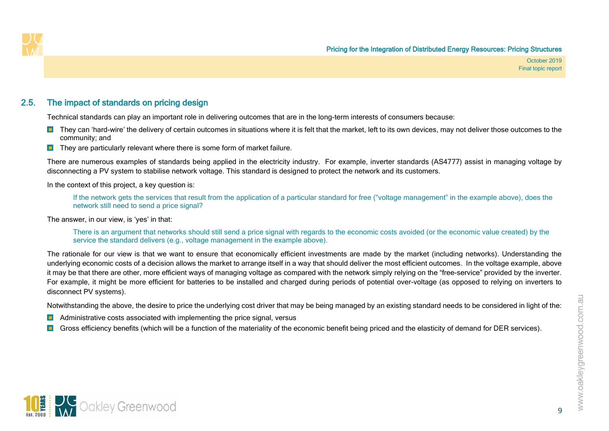

### 2.5. The impact of standards on pricing design

Technical standards can play an important role in delivering outcomes that are in the long-term interests of consumers because:

- They can 'hard-wire' the delivery of certain outcomes in situations where it is felt that the market, left to its own devices, may not deliver those outcomes to the community; and
- $\blacksquare$  They are particularly relevant where there is some form of market failure.

There are numerous examples of standards being applied in the electricity industry. For example, inverter standards (AS4777) assist in managing voltage by disconnecting a PV system to stabilise network voltage. This standard is designed to protect the network and its customers.

In the context of this project, a key question is:

If the network gets the services that result from the application of a particular standard for free ("voltage management" in the example above), does the network still need to send a price signal?

The answer, in our view, is 'yes' in that:

There is an argument that networks should still send a price signal with regards to the economic costs avoided (or the economic value created) by the service the standard delivers (e.g., voltage management in the example above).

<span id="page-12-0"></span>The rationale for our view is that we want to ensure that economically efficient investments are made by the market (including networks). Understanding the underlying economic costs of a decision allows the market to arrange itself in a way that should deliver the most efficient outcomes. In the voltage example, above it may be that there are other, more efficient ways of managing voltage as compared with the network simply relying on the "free-service" provided by the inverter. For example, it might be more efficient for batteries to be installed and charged during periods of potential over-voltage (as opposed to relying on inverters to disconnect PV systems).

Notwithstanding the above, the desire to price the underlying cost driver that may be being managed by an existing standard needs to be considered in light of the:

- $\blacksquare$ Administrative costs associated with implementing the price signal, versus
- Gross efficiency benefits (which will be a function of the materiality of the economic benefit being priced and the elasticity of demand for DER services).

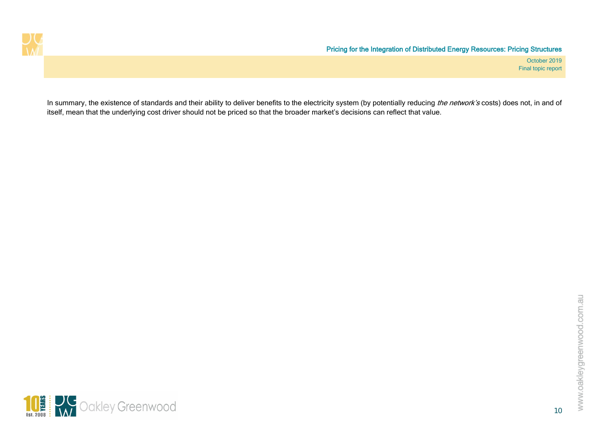

In summary, the existence of standards and their ability to deliver benefits to the electricity system (by potentially reducing the network's costs) does not, in and of itself, mean that the underlying cost driver should not be priced so that the broader market's decisions can reflect that value.

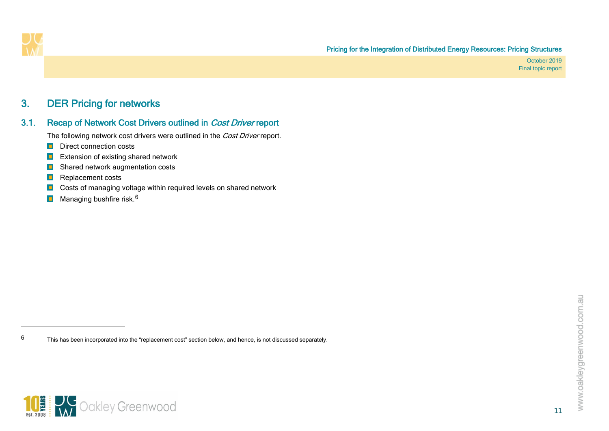<span id="page-14-3"></span>

## <span id="page-14-2"></span>3. DER Pricing for networks

### 3.1. Recap of Network Cost Drivers outlined in Cost Driver report

The following network cost drivers were outlined in the Cost Driver report.

- **D** Direct connection costs
- $\blacksquare$ Extension of existing shared network
- $\blacksquare$ Shared network augmentation costs
- $\blacksquare$ Replacement costs
- Costs of managing voltage within required levels on shared network  $\blacksquare$
- Managing bushfire risk.<sup>[6](#page-14-3)</sup>  $\blacksquare$

<span id="page-14-1"></span><span id="page-14-0"></span> $6$  This has been incorporated into the "replacement cost" section below, and hence, is not discussed separately.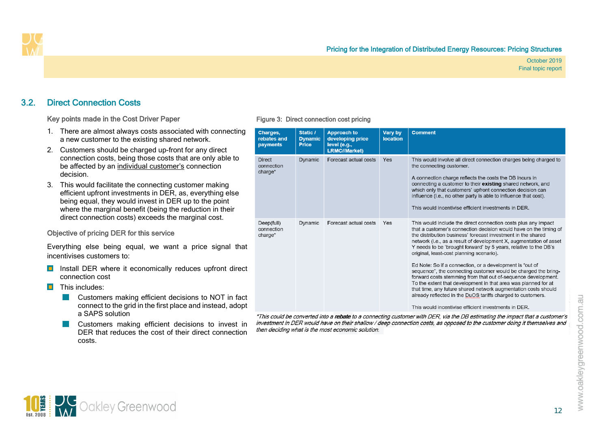

### 3.2. Direct Connection Costs

Key points made in the Cost Driver Paper

- 1. There are almost always costs associated with connecting a new customer to the existing shared network.
- 2. Customers should be charged up-front for any direct connection costs, being those costs that are only able to be affected by an individual customer's connection decision.
- 3. This would facilitate the connecting customer making efficient upfront investments in DER, as, everything else being equal, they would invest in DER up to the point where the marginal benefit (being the reduction in their direct connection costs) exceeds the marginal cost.

#### Objective of pricing DER for this service

Everything else being equal, we want a price signal that incentivises customers to:

- **Install DER where it economically reduces upfront direct** connection cost
- <span id="page-15-0"></span> $\blacksquare$  This includes:
	- Customers making efficient decisions to NOT in fact  $\sim 100$ connect to the grid in the first place and instead, adopt a SAPS solution
	- Customers making efficient decisions to invest in DER that reduces the cost of their direct connection costs.

#### Figure 3: Direct connection cost pricing

| Charges,<br>rebates and<br>payments    | Static /<br><b>Dynamic</b><br><b>Price</b> | <b>Approach to</b><br>developing price<br>level (e.g.,<br><b>LRMC//Market)</b> | Vary by<br><b>location</b> | <b>Comment</b>                                                                                                                                                                                                                                                                                                                                                                                                                                                                                                                                                                                                                                                                                                                                                                                                                                     |
|----------------------------------------|--------------------------------------------|--------------------------------------------------------------------------------|----------------------------|----------------------------------------------------------------------------------------------------------------------------------------------------------------------------------------------------------------------------------------------------------------------------------------------------------------------------------------------------------------------------------------------------------------------------------------------------------------------------------------------------------------------------------------------------------------------------------------------------------------------------------------------------------------------------------------------------------------------------------------------------------------------------------------------------------------------------------------------------|
| <b>Direct</b><br>connection<br>charge* | <b>Dynamic</b>                             | Forecast actual costs                                                          | Yes                        | This would involve all direct connection charges being charged to<br>the connecting customer.<br>A connection charge reflects the costs the DB incurs in<br>connecting a customer to their existing shared network, and<br>which only that customers' upfront connection decision can<br>influence (i.e., no other party is able to influence that cost).<br>This would incentivise efficient investments in DER.                                                                                                                                                                                                                                                                                                                                                                                                                                  |
| Deep(full)<br>connection<br>charge*    | Dynamic                                    | Forecast actual costs                                                          | Yes                        | This would include the direct connection costs plus any impact<br>that a customer's connection decision would have on the timing of<br>the distribution business' forecast investment in the shared<br>network (i.e., as a result of development X, augmentation of asset<br>Y needs to be 'brought forward' by 5 years, relative to the DB's<br>original, least-cost planning scenario).<br>Ed Note: So if a connection, or a development is "out of<br>sequence", the connecting customer would be charged the bring-<br>forward costs stemming from that out of-sequence development.<br>To the extent that development in that area was planned for at<br>that time, any future shared network augmentation costs should<br>already reflected in the DuOS tariffs charged to customers.<br>This would incentivise efficient investments in DER |

\*This could be converted into a rebate to a connecting customer with DER, via the DB estimating the impact that a customer's investment in DER would have on their shallow / deep connection costs, as opposed to the customer doing it themselves and then deciding what is the most economic solution.

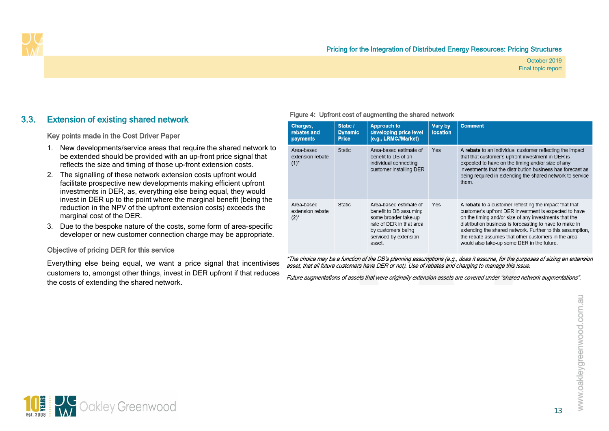

### 3.3. Extension of existing shared network

#### Key points made in the Cost Driver Paper

- 1. New developments/service areas that require the shared network to be extended should be provided with an up-front price signal that reflects the size and timing of those up-front extension costs.
- 2. The signalling of these network extension costs upfront would facilitate prospective new developments making efficient upfront investments in DER, as, everything else being equal, they would invest in DER up to the point where the marginal benefit (being the reduction in the NPV of the upfront extension costs) exceeds the marginal cost of the DER.
- 3. Due to the bespoke nature of the costs, some form of area-specific developer or new customer connection charge may be appropriate.

#### Objective of pricing DER for this service

<span id="page-16-0"></span>Everything else being equal, we want a price signal that incentivises customers to, amongst other things, invest in DER upfront if that reduces the costs of extending the shared network.

#### Figure 4: Upfront cost of augmenting the shared network

| Charges,<br>rebates and<br>payments         | Static /<br><b>Dynamic</b><br><b>Price</b> | <b>Approach to</b><br>developing price level<br>(e.g., LRMC//Market)                                                                                          | Vary by<br><b>location</b> | <b>Comment</b>                                                                                                                                                                                                                                                                                                                                                                                        |
|---------------------------------------------|--------------------------------------------|---------------------------------------------------------------------------------------------------------------------------------------------------------------|----------------------------|-------------------------------------------------------------------------------------------------------------------------------------------------------------------------------------------------------------------------------------------------------------------------------------------------------------------------------------------------------------------------------------------------------|
| Area-based<br>extension rebate<br>$(1)^{*}$ | <b>Static</b>                              | Area-based estimate of<br>benefit to DB of an<br>individual connecting<br>customer installing DER                                                             | Yes                        | A rebate to an individual customer reflecting the impact<br>that that customer's upfront investment in DER is<br>expected to have on the timing and/or size of any<br>investments that the distribution business has forecast as<br>being required in extending the shared network to service<br>them.                                                                                                |
| Area-based<br>extension rebate<br>$(2)^{*}$ | <b>Static</b>                              | Area-based estimate of<br>benefit to DB assuming<br>some broader take-up<br>rate of DER in that area<br>by customers being<br>serviced by extension<br>asset. | Yes                        | A rebate to a customer reflecting the impact that that<br>customer's upfront DER investment is expected to have<br>on the timing and/or size of any investments that the<br>distribution business is forecasting to have to make in<br>extending the shared network. Further to this assumption,<br>the rebate assumes that other customers in the area<br>would also take-up some DER in the future. |

\*The choice may be a function of the DB's planning assumptions (e.g., does it assume, for the purposes of sizing an extension asset, that all future customers have DER or not). Use of rebates and charging to manage this issue.

Future augmentations of assets that were originally extension assets are covered under "shared network augmentations".

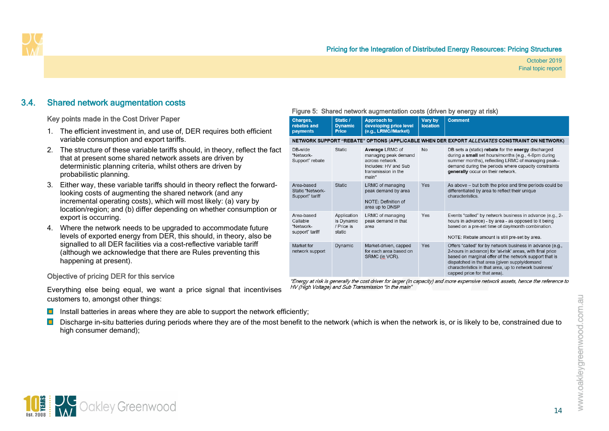### 3.4. Shared network augmentation costs

Key points made in the Cost Driver Paper

- 1. The efficient investment in, and use of, DER requires both efficient variable consumption and export tariffs.
- 2. The structure of these variable tariffs should, in theory, reflect the fact that at present some shared network assets are driven by deterministic planning criteria, whilst others are driven by probabilistic planning.
- 3. Either way, these variable tariffs should in theory reflect the forwardlooking costs of augmenting the shared network (and any incremental operating costs), which will most likely: (a) vary by location/region; and (b) differ depending on whether consumption or export is occurring.
- 4. Where the network needs to be upgraded to accommodate future levels of exported energy from DER, this should, in theory, also be signalled to all DER facilities via a cost-reflective variable tariff (although we acknowledge that there are Rules preventing this happening at present).

#### <span id="page-17-0"></span>Objective of pricing DER for this service

Everything else being equal, we want a price signal that incentivises customers to, amongst other things:

Install batteries in areas where they are able to support the network efficiently;

 $\blacksquare$ Discharge in-situ batteries during periods where they are of the most benefit to the network (which is when the network is, or is likely to be, constrained due to high consumer demand);

|  | Figure 5: Shared network augmentation costs (driven by energy at risk) |  |  |
|--|------------------------------------------------------------------------|--|--|
|--|------------------------------------------------------------------------|--|--|

| Charges,<br>rebates and<br>payments                    | Static /<br><b>Dynamic</b><br><b>Price</b>        | <b>Approach to</b><br>developing price level<br>(e.g., LRMC//Market)                                               | Vary by<br><b>location</b> | <b>Comment</b>                                                                                                                                                                                                                                                                                                            |
|--------------------------------------------------------|---------------------------------------------------|--------------------------------------------------------------------------------------------------------------------|----------------------------|---------------------------------------------------------------------------------------------------------------------------------------------------------------------------------------------------------------------------------------------------------------------------------------------------------------------------|
|                                                        |                                                   |                                                                                                                    |                            | NETWORK SUPPORT "REBATE" OPTIONS (APPLICABLE WHEN DER EXPORT ALLEVIATES CONSTRAINT ON NETWORK)                                                                                                                                                                                                                            |
| DB-wide<br>"Network-<br>Support" rebate                | <b>Static</b>                                     | Average LRMC of<br>managing peak demand<br>across network.<br>Includes: HV and Sub<br>transmission in the<br>main* | <b>No</b>                  | DB sets a (static) rebate for the energy discharged<br>during a small set hours/months (e.g., 4-6pm during<br>summer months), reflecting LRMC of managing peak--<br>demand during the periods where capacity constraints<br>generally occur on their network.                                                             |
| Area-based<br>Static "Network-<br>Support" tariff      | <b>Static</b>                                     | LRMC of managing<br>peak demand by area<br>NOTE: Definition of<br>area up to DNSP                                  | Yes                        | As above - but both the price and time periods could be<br>differentiated by area to reflect their unique<br>characteristics.                                                                                                                                                                                             |
| Area-based<br>Callable<br>"Network-<br>support" tariff | Application<br>is Dynamic<br>/ Price is<br>static | LRMC of managing<br>peak demand in that<br>area                                                                    | Yes                        | Events "called" by network business in advance (e.g., 2-<br>hours in advance) - by area - as opposed to it being<br>based on a pre-set time of day/month combination.<br>NOTE: Rebate amount is still pre-set by area.                                                                                                    |
| Market for<br>network support                          | Dynamic                                           | Market-driven, capped<br>for each area based on<br>SRMC (ie VCR).                                                  | Yes                        | Offers "called" for by network business in advance (e.g.,<br>2-hours in advance) for 'at-risk' areas, with final price<br>based on marginal offer of the network support that is<br>dispatched in that area (given supply/demand<br>characteristics in that area, up to network business'<br>capped price for that area). |

\*Energy at risk is generally the cost driver for larger (in capacity) and more expensive network assets, hence the reference to HV (High Voltage) and Sub Transmission "in the main"

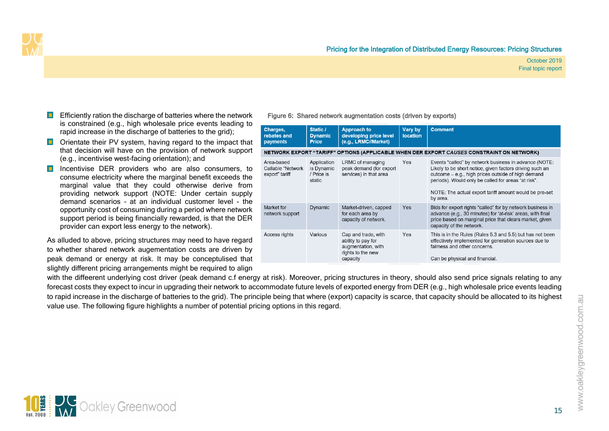

- **E** Efficiently ration the discharge of batteries where the network is constrained (e.g., high wholesale price events leading to rapid increase in the discharge of batteries to the grid);
- **D** Orientate their PV system, having regard to the impact that that decision will have on the provision of network support (e.g., incentivise west-facing orientation); and
- **Incentivise DER providers who are also consumers, to** consume electricity where the marginal benefit exceeds the marginal value that they could otherwise derive from providing network support (NOTE: Under certain supply demand scenarios – at an individual customer level - the opportunity cost of consuming during a period where network support period is being financially rewarded, is that the DER provider can export less energy to the network).

As alluded to above, pricing structures may need to have regard to whether shared network augementation costs are driven by peak demand or energy at risk. It may be conceptulised that slightly different pricing arrangements might be required to align

#### Figure 6: Shared network augmentation costs (driven by exports)

| Charges,<br>rebates and<br>payments               | Static /<br><b>Dynamic</b><br><b>Price</b>        | <b>Approach to</b><br>developing price level<br>(e.g., LRMC//Market)                             | Vary by<br><b>location</b> | <b>Comment</b>                                                                                                                                                                                                                                                                                       |
|---------------------------------------------------|---------------------------------------------------|--------------------------------------------------------------------------------------------------|----------------------------|------------------------------------------------------------------------------------------------------------------------------------------------------------------------------------------------------------------------------------------------------------------------------------------------------|
|                                                   |                                                   |                                                                                                  |                            | NETWORK EXPORT "TARIFF" OPTIONS (APPLICABLE WHEN DER EXPORT CAUSES CONSTRAINT ON NETWORK)                                                                                                                                                                                                            |
| Area-based<br>Callable "Network<br>export" tariff | Application<br>is Dynamic<br>/ Price is<br>static | LRMC of managing<br>peak demand (for export<br>services) in that area                            | Yes                        | Events "called" by network business in advance (NOTE:<br>Likely to be short notice, given factors driving such an<br>outcome - e.g., high prices outside of high demand<br>periods). Would only be called for areas "at risk".<br>NOTE: The actual export tariff amount would be pre-set<br>by area. |
| Market for<br>network support                     | Dynamic                                           | Market-driven, capped<br>for each area by<br>capacity of network.                                | <b>Yes</b>                 | Bids for export rights "called" for by network business in<br>advance (e.g., 30 minutes) for 'at-risk' areas, with final<br>price based on marginal price that clears market, given<br>capacity of the network.                                                                                      |
| Access rights                                     | Various                                           | Cap and trade, with<br>ability to pay for<br>augmentation, with<br>rights to the new<br>capacity | Yes                        | This is in the Rules (Rules 5.3 and 5.5) but has not been<br>effectively implemented for generation sources due to<br>fairness and other concerns.<br>Can be physical and financial.                                                                                                                 |

with the diffeerent underlying cost driver (peak demand c.f energy at risk). Moreover, pricing structures in theory, should also send price signals relating to any forecast costs they expect to incur in upgrading their network to accommodate future levels of exported energy from DER (e.g., high wholesale price events leading to rapid increase in the discharge of batteries to the grid). The principle being that where (export) capacity is scarce, that capacity should be allocated to its highest value use. The following figure highlights a number of potential pricing options in this regard.

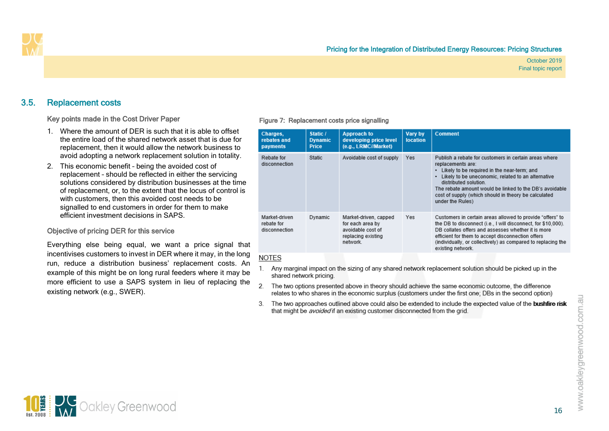### 3.5. Replacement costs

#### Key points made in the Cost Driver Paper

- 1. Where the amount of DER is such that it is able to offset the entire load of the shared network asset that is due for replacement, then it would allow the network business to avoid adopting a network replacement solution in totality.
- 2. This economic benefit being the avoided cost of replacement – should be reflected in either the servicing solutions considered by distribution businesses at the time of replacement, or, to the extent that the locus of control is with customers, then this avoided cost needs to be signalled to end customers in order for them to make efficient investment decisions in SAPS.

#### Objective of pricing DER for this service

<span id="page-19-0"></span>Everything else being equal, we want a price signal that incentivises customers to invest in DER where it may, in the long run, reduce a distribution business' replacement costs. An example of this might be on long rural feeders where it may be more efficient to use a SAPS system in lieu of replacing the existing network (e.g., SWER).

#### Figure 7: Replacement costs price signalling

| Charges,<br>rebates and<br>payments          | Static /<br><b>Dynamic</b><br><b>Price</b> | <b>Approach to</b><br>developing price level<br>(e.g., LRMC//Market)                             | Vary by<br><b>location</b> | <b>Comment</b>                                                                                                                                                                                                                                                                                                                                  |
|----------------------------------------------|--------------------------------------------|--------------------------------------------------------------------------------------------------|----------------------------|-------------------------------------------------------------------------------------------------------------------------------------------------------------------------------------------------------------------------------------------------------------------------------------------------------------------------------------------------|
| Rebate for<br>disconnection                  | Static                                     | Avoidable cost of supply                                                                         | <b>Yes</b>                 | Publish a rebate for customers in certain areas where<br>replacements are:<br>Likely to be required in the near-term; and<br>Likely to be uneconomic, related to an alternative<br>distributed solution.<br>The rebate amount would be linked to the DB's avoidable<br>cost of supply (which should in theory be calculated<br>under the Rules) |
| Market-driven<br>rebate for<br>disconnection | Dynamic                                    | Market-driven, capped<br>for each area by<br>avoidable cost of<br>replacing existing<br>network. | Yes                        | Customers in certain areas allowed to provide "offers" to<br>the DB to disconnect (i.e., I will disconnect, for \$10,000).<br>DB collates offers and assesses whether it is more<br>efficient for them to accept disconnection offers<br>(individually, or collectively) as compared to replacing the<br>existing network.                      |

#### **NOTES**

- 1. Any marginal impact on the sizing of any shared network replacement solution should be picked up in the shared network pricing.
- $\overline{2}$ The two options presented above in theory should achieve the same economic outcome, the difference relates to who shares in the economic surplus (customers under the first one; DBs in the second option)
- 3. The two approaches outlined above could also be extended to include the expected value of the bushfire risk that might be *avoided* if an existing customer disconnected from the grid.

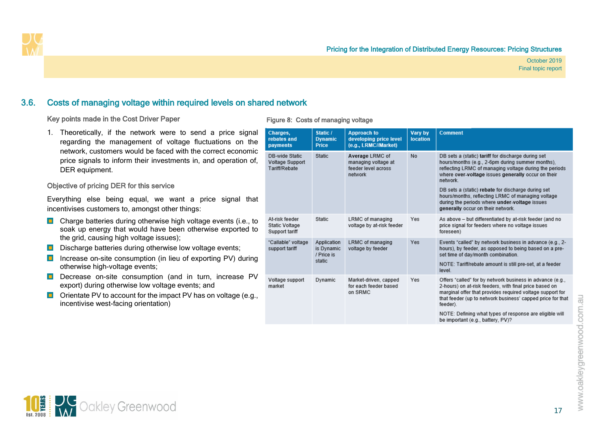### 3.6. Costs of managing voltage within required levels on shared network

#### Key points made in the Cost Driver Paper

1. Theoretically, if the network were to send a price signal regarding the management of voltage fluctuations on the network, customers would be faced with the correct economic price signals to inform their investments in, and operation of, DER equipment.

#### Objective of pricing DER for this service

Everything else being equal, we want a price signal that incentivises customers to, amongst other things:

- **Charge batteries during otherwise high voltage events (i.e., to** soak up energy that would have been otherwise exported to the grid, causing high voltage issues);
- Discharge batteries during otherwise low voltage events;
- Increase on-site consumption (in lieu of exporting PV) during otherwise high-voltage events;
- <span id="page-20-0"></span>Decrease on-site consumption (and in turn, increase PV export) during otherwise low voltage events; and
- **D** Orientate PV to account for the impact PV has on voltage (e.g., incentivise west-facing orientation)

#### Figure 8: Costs of managing voltage

| Charges,<br>rebates and<br>payments                | Static /<br><b>Dynamic</b><br><b>Price</b> | <b>Approach to</b><br>developing price level<br>(e.g., LRMC//Market)     | Vary by<br>location | <b>Comment</b>                                                                                                                                                                                                                                             |
|----------------------------------------------------|--------------------------------------------|--------------------------------------------------------------------------|---------------------|------------------------------------------------------------------------------------------------------------------------------------------------------------------------------------------------------------------------------------------------------------|
| DB-wide Static<br>Voltage Support<br>Tariff/Rebate | Static                                     | Average LRMC of<br>managing voltage at<br>feeder level across<br>network | No                  | DB sets a (static) tariff for discharge during set<br>hours/months (e.g., 2-6pm during summer months).<br>reflecting LRMC of managing voltage during the periods<br>where over-voltage issues generally occur on their<br>network.                         |
|                                                    |                                            |                                                                          |                     | DB sets a (static) rebate for discharge during set<br>hours/months, reflecting LRMC of managing voltage<br>during the periods where under-voltage issues<br>generally occur on their network.                                                              |
| At-risk feeder<br>Static Voltage<br>Support tariff | Static                                     | <b>LRMC</b> of managing<br>voltage by at-risk feeder                     | Yes                 | As above - but differentiated by at-risk feeder (and no<br>price signal for feeders where no voltage issues<br>foreseen)                                                                                                                                   |
| "Callable" voltage<br>support tariff               | Application<br>is Dynamic<br>/ Price is    | LRMC of managing<br>voltage by feeder                                    | Yes                 | Events "called" by network business in advance (e.g., 2-<br>hours), by feeder, as opposed to being based on a pre-<br>set time of day/month combination.                                                                                                   |
|                                                    | static                                     |                                                                          |                     | NOTE: Tariff/rebate amount is still pre-set, at a feeder<br>level                                                                                                                                                                                          |
| Voltage support<br>market                          | Dynamic                                    | Market-driven, capped<br>for each feeder based<br>on SRMC                | Yes                 | Offers "called" for by network business in advance (e.g.,<br>2-hours) on at-risk feeders, with final price based on<br>marginal offer that provides required voltage support for<br>that feeder (up to network business' capped price for that<br>feeder). |
|                                                    |                                            |                                                                          |                     | NOTE: Defining what types of response are eligible will<br>be important (e.g., battery, PV)?                                                                                                                                                               |

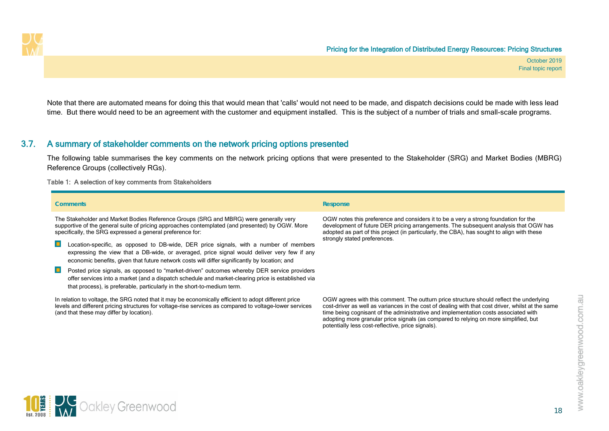

Note that there are automated means for doing this that would mean that 'calls' would not need to be made, and dispatch decisions could be made with less lead time. But there would need to be an agreement with the customer and equipment installed. This is the subject of a number of trials and small-scale programs.

### 3.7. A summary of stakeholder comments on the network pricing options presented

The following table summarises the key comments on the network pricing options that were presented to the Stakeholder (SRG) and Market Bodies (MBRG) Reference Groups (collectively RGs).

#### Table 1: A selection of key comments from Stakeholders

<span id="page-21-1"></span><span id="page-21-0"></span>**10 EXP** Oakley Greenwood

| <b>Comments</b>                                                                                                                                                                                                                                                                                                                                                                                                                                                                                                                                                  | <b>Response</b>                                                                                                                                                                                                                                                                                                                                                                                                                  |
|------------------------------------------------------------------------------------------------------------------------------------------------------------------------------------------------------------------------------------------------------------------------------------------------------------------------------------------------------------------------------------------------------------------------------------------------------------------------------------------------------------------------------------------------------------------|----------------------------------------------------------------------------------------------------------------------------------------------------------------------------------------------------------------------------------------------------------------------------------------------------------------------------------------------------------------------------------------------------------------------------------|
| The Stakeholder and Market Bodies Reference Groups (SRG and MBRG) were generally very<br>supportive of the general suite of pricing approaches contemplated (and presented) by OGW. More<br>specifically, the SRG expressed a general preference for:<br>Location-specific, as opposed to DB-wide, DER price signals, with a number of members<br>expressing the view that a DB-wide, or averaged, price signal would deliver very few if any<br>economic benefits, given that future network costs will differ significantly by location; and<br>$\blacksquare$ | OGW notes this preference and considers it to be a very a strong foundation for the<br>development of future DER pricing arrangements. The subsequent analysis that OGW has<br>adopted as part of this project (in particularly, the CBA), has sought to align with these<br>strongly stated preferences.                                                                                                                        |
| Posted price signals, as opposed to "market-driven" outcomes whereby DER service providers<br>offer services into a market (and a dispatch schedule and market-clearing price is established via<br>that process), is preferable, particularly in the short-to-medium term.                                                                                                                                                                                                                                                                                      |                                                                                                                                                                                                                                                                                                                                                                                                                                  |
| In relation to voltage, the SRG noted that it may be economically efficient to adopt different price<br>levels and different pricing structures for voltage-rise services as compared to voltage-lower services<br>(and that these may differ by location).                                                                                                                                                                                                                                                                                                      | OGW agrees with this comment. The outturn price structure should reflect the underlying<br>cost-driver as well as variances in the cost of dealing with that cost driver, whilst at the same<br>time being cognisant of the administrative and implementation costs associated with<br>adopting more granular price signals (as compared to relying on more simplified, but<br>potentially less cost-reflective, price signals). |



18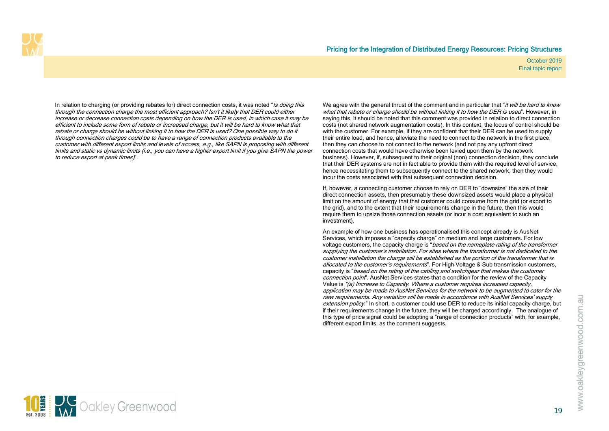

In relation to charging (or providing rebates for) direct connection costs, it was noted "*Is doing this* through the connection charge the most efficient approach? Isn't it likely that DER could either increase or decrease connection costs depending on how the DER is used, in which case it may be efficient to include some form of rebate or increased charge, but it will be hard to know what that rebate or charge should be without linking it to how the DER is used? One possible way to do it through connection charges could be to have a range of connection products available to the customer with different export limits and levels of access, e.g., like SAPN is proposing with different limits and static vs dynamic limits (i.e., you can have a higher export limit if you give SAPN the power to reduce export at peak times)".

We agree with the general thrust of the comment and in particular that "*it will be hard to know* what that rebate or charge should be without linking it to how the DER is used". However, in saying this, it should be noted that this comment was provided in relation to direct connection costs (not shared network augmentation costs). In this context, the locus of control should be with the customer. For example, if they are confident that their DER can be used to supply their entire load, and hence, alleviate the need to connect to the network in the first place, then they can choose to not connect to the network (and not pay any upfront direct connection costs that would have otherwise been levied upon them by the network business). However, if, subsequent to their original (non) connection decision, they conclude that their DER systems are not in fact able to provide them with the required level of service, hence necessitating them to subsequently connect to the shared network, then they would incur the costs associated with that subsequent connection decision.

If, however, a connecting customer choose to rely on DER to "downsize" the size of their direct connection assets, then presumably these downsized assets would place a physical limit on the amount of energy that that customer could consume from the grid (or export to the grid), and to the extent that their requirements change in the future, then this would require them to upsize those connection assets (or incur a cost equivalent to such an investment).

An example of how one business has operationalised this concept already is AusNet Services, which imposes a "capacity charge" on medium and large customers. For low voltage customers, the capacity charge is "*based on the nameplate rating of the transformer* supplying the customer's installation. For sites where the transformer is not dedicated to the customer installation the charge will be established as the portion of the transformer that is allocated to the customer's requirements". For High Voltage & Sub transmission customers, capacity is "*based on the rating of the cabling and switchgear that makes the customer* connection point". AusNet Services states that a condition for the review of the Capacity Value is "(a) Increase to Capacity. Where a customer requires increased capacity, application may be made to AusNet Services for the network to be augmented to cater for the new requirements. Any variation will be made in accordance with AusNet Services' supply extension policy." In short, a customer could use DER to reduce its initial capacity charge, but if their requirements change in the future, they will be charged accordingly. The analogue of this type of price signal could be adopting a "range of connection products" with, for example, different export limits, as the comment suggests.

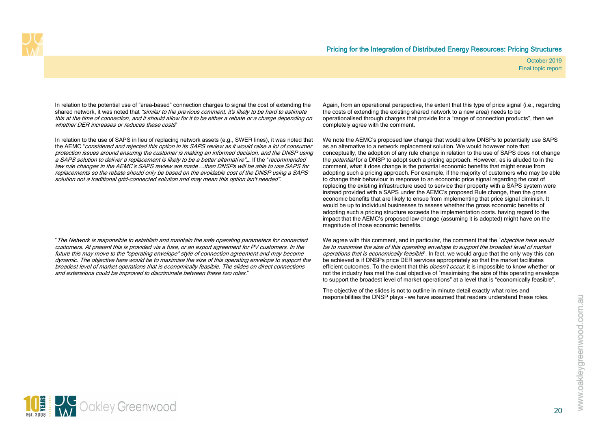In relation to the potential use of "area-based" connection charges to signal the cost of extending the shared network, it was noted that "similar to the previous comment, it's likely to be hard to estimate this at the time of connection, and it should allow for it to be either a rebate or a charge depending on whether DER increases or reduces these costs"

In relation to the use of SAPS in lieu of replacing network assets (e.g., SWER lines), it was noted that the AEMC "considered and rejected this option in its SAPS review as it would raise a lot of consumer protection issues around ensuring the customer is making an informed decision, and the DNSP using a SAPS solution to deliver a replacement is likely to be a better alternative"…. If the "recommended law rule changes in the AEMC's SAPS review are made ….then DNSPs will be able to use SAPS for replacements so the rebate should only be based on the avoidable cost of the DNSP using a SAPS solution not a traditional grid-connected solution and may mean this option isn't needed".

"The Network is responsible to establish and maintain the safe operating parameters for connected customers. At present this is provided via a fuse, or an export agreement for PV customers. In the future this may move to the "operating envelope" style of connection agreement and may become dynamic. The objective here would be to maximise the size of this operating envelope to support the broadest level of market operations that is economically feasible. The slides on direct connections and extensions could be improved to discriminate between these two roles."

Again, from an operational perspective, the extent that this type of price signal (i.e., regarding the costs of extending the existing shared network to a new area) needs to be operationalised through charges that provide for a "range of connection products", then we completely agree with the comment.

We note the AEMC's proposed law change that would allow DNSPs to potentially use SAPS as an alternative to a network replacement solution. We would however note that conceptually, the adoption of any rule change in relation to the use of SAPS does not change the *potential* for a DNSP to adopt such a pricing approach. However, as is alluded to in the comment, what it does change is the potential economic benefits that might ensue from adopting such a pricing approach. For example, if the majority of customers who may be able to change their behaviour in response to an economic price signal regarding the cost of replacing the existing infrastructure used to service their property with a SAPS system were instead provided with a SAPS under the AEMC's proposed Rule change, then the gross economic benefits that are likely to ensue from implementing that price signal diminish. It would be up to individual businesses to assess whether the gross economic benefits of adopting such a pricing structure exceeds the implementation costs. having regard to the impact that the AEMC's proposed law change (assuming it is adopted) might have on the magnitude of those economic benefits.

We agree with this comment, and in particular, the comment that the "*objective here would* be to maximise the size of this operating envelope to support the broadest level of market operations that is economically feasible". In fact, we would argue that the only way this can be achieved is if DNSPs price DER services appropriately so that the market facilitates efficient outcomes. To the extent that this *doesn't occur*, it is impossible to know whether or not the industry has met the dual objective of "maximising the size of this operating envelope to support the broadest level of market operations" at a level that is "economically feasible".

The objective of the slides is not to outline in minute detail exactly what roles and responsibilities the DNSP plays – we have assumed that readers understand these roles.

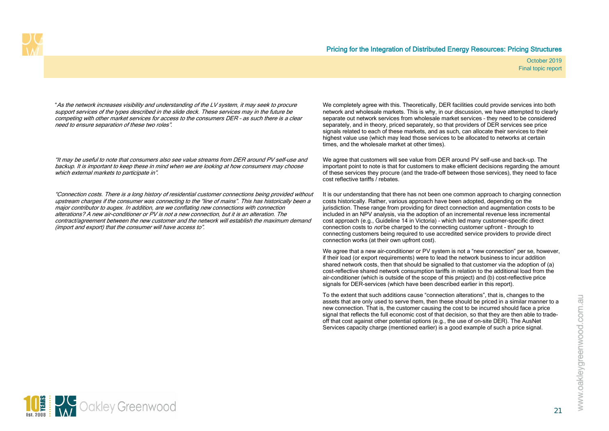"As the network increases visibility and understanding of the LV system, it may seek to procure support services of the types described in the slide deck. These services may in the future be competing with other market services for access to the consumers DER – as such there is a clear need to ensure separation of these two roles".

"It may be useful to note that consumers also see value streams from DER around PV self-use and backup. It is important to keep these in mind when we are looking at how consumers may choose which external markets to participate in".

"Connection costs. There is a long history of residential customer connections being provided without upstream charges if the consumer was connecting to the "line of mains". This has historically been a major contributor to augex. In addition, are we conflating new connections with connection alterations? A new air-conditioner or PV is not a new connection, but it is an alteration. The contract/agreement between the new customer and the network will establish the maximum demand (import and export) that the consumer will have access to".

We completely agree with this. Theoretically, DER facilities could provide services into both network and wholesale markets. This is why, in our discussion, we have attempted to clearly separate out network services from wholesale market services – they need to be considered separately, and in theory, priced separately, so that providers of DER services see price signals related to each of these markets, and as such, can allocate their services to their highest value use (which may lead those services to be allocated to networks at certain times, and the wholesale market at other times).

We agree that customers will see value from DER around PV self-use and back-up. The important point to note is that for customers to make efficient decisions regarding the amount of these services they procure (and the trade-off between those services), they need to face cost reflective tariffs / rebates.

It is our understanding that there has not been one common approach to charging connection costs historically. Rather, various approach have been adopted, depending on the jurisdiction. These range from providing for direct connection and augmentation costs to be included in an NPV analysis, via the adoption of an incremental revenue less incremental cost approach (e.g., Guideline 14 in Victoria) – which led many customer-specific direct connection costs to *not* be charged to the connecting customer upfront - through to connecting customers being required to use accredited service providers to provide direct connection works (at their own upfront cost).

We agree that a new air-conditioner or PV system is not a "new connection" per se, however, if their load (or export requirements) were to lead the network business to incur addition shared network costs, then that should be signalled to that customer via the adoption of (a) cost-reflective shared network consumption tariffs in relation to the additional load from the air-conditioner (which is outside of the scope of this project) and (b) cost-reflective price signals for DER-services (which have been described earlier in this report).

To the extent that such additions cause "connection alterations", that is, changes to the assets that are only used to serve them, then these should be priced in a similar manner to a new connection. That is, the customer causing the cost to be incurred should face a price signal that reflects the full economic cost of that decision, so that they are then able to tradeoff that cost against other potential options (e.g., the use of on-site DER). The AusNet Services capacity charge (mentioned earlier) is a good example of such a price signal.

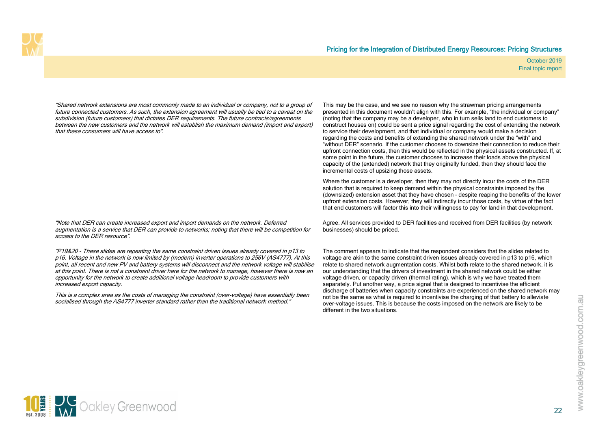"Shared network extensions are most commonly made to an individual or company, not to a group of future connected customers. As such, the extension agreement will usually be tied to a caveat on the subdivision (future customers) that dictates DER requirements. The future contracts/agreements between the new customers and the network will establish the maximum demand (import and export) that these consumers will have access to".

This may be the case, and we see no reason why the strawman pricing arrangements presented in this document wouldn't align with this. For example, "the individual or company" (noting that the company may be a developer, who in turn sells land to end customers to construct houses on) could be sent a price signal regarding the cost of extending the network to service their development, and that individual or company would make a decision regarding the costs and benefits of extending the shared network under the "with" and "without DER" scenario. If the customer chooses to downsize their connection to reduce their upfront connection costs, then this would be reflected in the physical assets constructed. If, at some point in the future, the customer chooses to increase their loads above the physical capacity of the (extended) network that they originally funded, then they should face the incremental costs of upsizing those assets.

Where the customer is a developer, then they may not directly incur the costs of the DER solution that is required to keep demand within the physical constraints imposed by the (downsized) extension asset that they have chosen – despite reaping the benefits of the lower upfront extension costs. However, they will indirectly incur those costs, by virtue of the fact that end customers will factor this into their willingness to pay for land in that development.

Agree. All services provided to DER facilities and received from DER facilities (by network businesses) should be priced.

The comment appears to indicate that the respondent considers that the slides related to voltage are akin to the same constraint driven issues already covered in p13 to p16, which relate to shared network augmentation costs. Whilst both relate to the shared network, it is our understanding that the drivers of investment in the shared network could be either voltage driven, or capacity driven (thermal rating), which is why we have treated them separately. Put another way, a price signal that is designed to incentivise the efficient discharge of batteries when capacity constraints are experienced on the shared network may not be the same as what is required to incentivise the charging of that battery to alleviate over-voltage issues. This is because the costs imposed on the network are likely to be different in the two situations.

"Note that DER can create increased export and import demands on the network. Deferred augmentation is a service that DER can provide to networks; noting that there will be competition for access to the DER resource".

"P19&20 - These slides are repeating the same constraint driven issues already covered in p13 to p16. Voltage in the network is now limited by (modern) inverter operations to 256V (AS4777). At this point, all recent and new PV and battery systems will disconnect and the network voltage will stabilise at this point. There is not a constraint driver here for the network to manage, however there is now an opportunity for the network to create additional voltage headroom to provide customers with increased export capacity.

This is a complex area as the costs of managing the constraint (over-voltage) have essentially been socialised through the AS4777 inverter standard rather than the traditional network method."

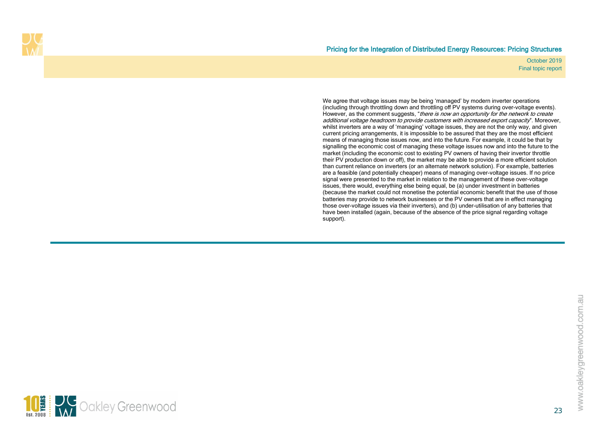

We agree that voltage issues may be being 'managed' by modern inverter operations (including through throttling down and throttling off PV systems during over-voltage events). However, as the comment suggests, "there is now an opportunity for the network to create additional voltage headroom to provide customers with increased export capacity". Moreover, whilst inverters are a way of 'managing' voltage issues, they are not the only way, and given current pricing arrangements, it is impossible to be assured that they are the most efficient means of managing those issues now, and into the future. For example, it could be that by signalling the economic cost of managing these voltage issues now and into the future to the market (including the economic cost to existing PV owners of having their invertor throttle their PV production down or off), the market may be able to provide a more efficient solution than current reliance on inverters (or an alternate network solution). For example, batteries are a feasible (and potentially cheaper) means of managing over-voltage issues. If no price signal were presented to the market in relation to the management of these over-voltage issues, there would, everything else being equal, be (a) under investment in batteries (because the market could not monetise the potential economic benefit that the use of those batteries may provide to network businesses or the PV owners that are in effect managing those over-voltage issues via their inverters), and (b) under-utilisation of any batteries that have been installed (again, because of the absence of the price signal regarding voltage support).

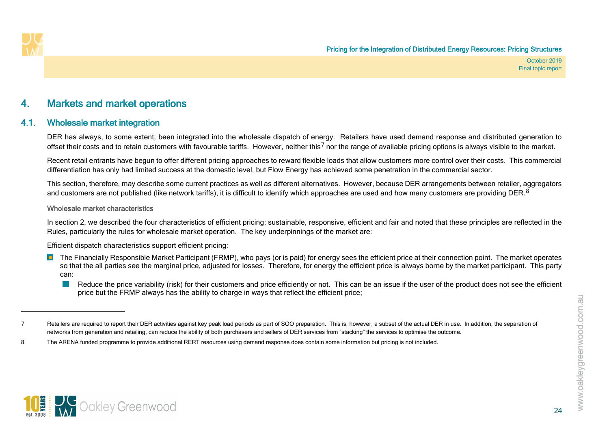<span id="page-27-4"></span><span id="page-27-3"></span>

## <span id="page-27-2"></span>4. Markets and market operations

### 4.1. Wholesale market integration

<span id="page-27-5"></span>DER has always, to some extent, been integrated into the wholesale dispatch of energy. Retailers have used demand response and distributed generation to offset their costs and to retain customers with favourable tariffs. However, neither this<sup>[7](#page-27-3)</sup> nor the range of available pricing options is always visible to the market.

Recent retail entrants have begun to offer different pricing approaches to reward flexible loads that allow customers more control over their costs. This commercial differentiation has only had limited success at the domestic level, but Flow Energy has achieved some penetration in the commercial sector.

This section, therefore, may describe some current practices as well as different alternatives. However, because DER arrangements between retailer, aggregators and customers are not published (like network tariffs), it is difficult to identify which approaches are used and how many customers are providing DER.<sup>[8](#page-27-4)</sup>

#### Wholesale market characteristics

In section [2,](#page-7-5) we described the four characteristics of efficient pricing; sustainable, responsive, efficient and fair and noted that these principles are reflected in the Rules, particularly the rules for wholesale market operation. The key underpinnings of the market are:

Efficient dispatch characteristics support efficient pricing:

- <span id="page-27-0"></span>**The Financially Responsible Market Participant (FRMP), who pays (or is paid) for energy sees the efficient price at their connection point. The market operates** so that the all parties see the marginal price, adjusted for losses. Therefore, for energy the efficient price is always borne by the market participant. This party can:
	- Reduce the price variability (risk) for their customers and price efficiently or not. This can be an issue if the user of the product does not see the efficient price but the FRMP always has the ability to charge in ways that reflect the efficient price;



<span id="page-27-1"></span><sup>7</sup> Retailers are required to report their DER activities against key peak load periods as part of SOO preparation. This is, however, a subset of the actual DER in use. In addition, the separation of networks from generation and retailing, can reduce the ability of both purchasers and sellers of DER services from "stacking" the services to optimise the outcome.

<sup>8</sup> The ARENA funded programme to provide additional RERT resources using demand response does contain some information but pricing is not included.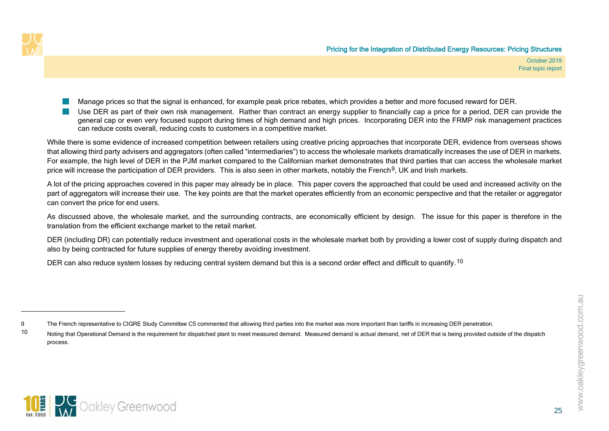<span id="page-28-1"></span><span id="page-28-0"></span>



- Manage prices so that the signal is enhanced, for example peak price rebates, which provides a better and more focused reward for DER.
- Use DER as part of their own risk management. Rather than contract an energy supplier to financially cap a price for a period, DER can provide the general cap or even very focused support during times of high demand and high prices. Incorporating DER into the FRMP risk management practices can reduce costs overall, reducing costs to customers in a competitive market.

While there is some evidence of increased competition between retailers using creative pricing approaches that incorporate DER, evidence from overseas shows that allowing third party advisers and aggregators (often called "intermediaries") to access the wholesale markets dramatically increases the use of DER in markets. For example, the high level of DER in the PJM market compared to the Californian market demonstrates that third parties that can access the wholesale market price will increase the participation of DER providers. This is also seen in other markets, notably the French $9$ , UK and Irish markets.

A lot of the pricing approaches covered in this paper may already be in place. This paper covers the approached that could be used and increased activity on the part of aggregators will increase their use. The key points are that the market operates efficiently from an economic perspective and that the retailer or aggregator can convert the price for end users.

As discussed above, the wholesale market, and the surrounding contracts, are economically efficient by design. The issue for this paper is therefore in the translation from the efficient exchange market to the retail market.

DER (including DR) can potentially reduce investment and operational costs in the wholesale market both by providing a lower cost of supply during dispatch and also by being contracted for future supplies of energy thereby avoiding investment.

DER can also reduce system losses by reducing central system demand but this is a second order effect and difficult to quantify. <sup>[10](#page-28-1)</sup>



<sup>9</sup> The French representative to CIGRE Study Committee C5 commented that allowing third parties into the market was more important than tariffs in increasing DER penetration.

<sup>10</sup> Noting that Operational Demand is the requirement for dispatched plant to meet measured demand. Measured demand is actual demand, net of DER that is being provided outside of the dispatch process.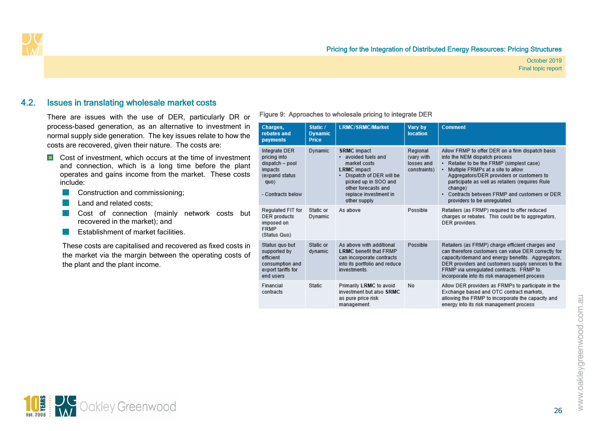

### 4.2. Issues in translating wholesale market costs

<span id="page-29-2"></span>There are issues with the use of DER, particularly DR or process-based generation, as an alternative to investment in normal supply side generation. The key issues relate to how the costs are recovered, given their nature. The costs are:

- Cost of investment, which occurs at the time of investment and connection, which is a long time before the plant operates and gains income from the market. These costs include:
	- **Construction and commissioning;**
	- Land and related costs;
	- Cost of connection (mainly network costs but recovered in the market); and
	- Establishment of market facilities.  $\sim 10$

<span id="page-29-0"></span>These costs are capitalised and recovered as fixed costs in the market via the margin between the operating costs of the plant and the plant income.

#### <span id="page-29-1"></span>Figure 9: Approaches to wholesale pricing to integrate DER

| Charges,<br>rebates and<br>payments                                                                        | Static /<br><b>Dynamic</b><br><b>Price</b> | <b>LRMC/SRMC/Market</b>                                                                                                                                                                               | Vary by<br><b>location</b>                           | <b>Comment</b>                                                                                                                                                                                                                                                                                                                                                                |
|------------------------------------------------------------------------------------------------------------|--------------------------------------------|-------------------------------------------------------------------------------------------------------------------------------------------------------------------------------------------------------|------------------------------------------------------|-------------------------------------------------------------------------------------------------------------------------------------------------------------------------------------------------------------------------------------------------------------------------------------------------------------------------------------------------------------------------------|
| Integrate DER<br>pricing into<br>dispatch - pool<br>impacts<br>(expand status<br>quo)<br>- Contracts below | Dynamic                                    | <b>SRMC</b> impact<br>avoided fuels and<br>market costs<br><b>LRMC</b> impact<br>Dispatch of DER will be<br>٠<br>picked up in SOO and<br>other forecasts and<br>replace investment in<br>other supply | Regional<br>(vary with<br>losses and<br>constraints) | Allow FRMP to offer DER on a firm dispatch basis<br>into the NEM dispatch process<br>Retailer to be the FRMP (simplest case)<br>$\bullet$<br>Multiple FRMPs at a site to allow<br>٠<br>Aggregators/DER providers or customers to<br>participate as well as retailers (requires Rule<br>change)<br>Contracts between FRMP and customers or DER<br>providers to be unregulated. |
| Regulated FIT for<br>DER products<br>imposed on<br><b>FRMP</b><br>(Status Quo)                             | Static or<br>Dynamic                       | As above                                                                                                                                                                                              | Possible                                             | Retailers (as FRMP) required to offer reduced<br>charges or rebates. This could be to aggregators,<br>DER providers.                                                                                                                                                                                                                                                          |
| Status quo but<br>supported by<br>efficient<br>consumption and<br>export tariffs for<br>end users          | Static or<br>dynamic                       | As above with additional<br><b>LRMC</b> benefit that FRMP<br>can incorporate contracts<br>into its portfolio and reduce<br>investments.                                                               | Possible                                             | Retailers (as FRMP) charge efficient charges and<br>can therefore customers can value DER correctly for<br>capacity/demand and energy benefits. Aggregators,<br>DER providers and customers supply services to the<br>FRMP via unregulated contracts. FRMP to<br>incorporate into its risk management process                                                                 |
| Financial<br>contracts                                                                                     | Static                                     | Primarily LRMC to avoid<br>investment but also SRMC<br>as pure price risk<br>management.                                                                                                              | No                                                   | Allow DER providers as FRMPs to participate in the<br>Exchange based and OTC contract markets.<br>allowing the FRMP to incorporate the capacity and<br>energy into its risk management process                                                                                                                                                                                |

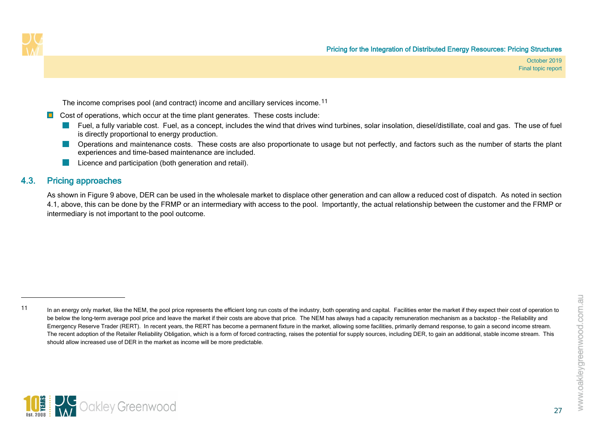<span id="page-30-1"></span>The income comprises pool (and contract) income and ancillary services income.<sup>[11](#page-30-1)</sup>

- $\Box$  Cost of operations, which occur at the time plant generates. These costs include:
	- Fuel, a fully variable cost. Fuel, as a concept, includes the wind that drives wind turbines, solar insolation, diesel/distillate, coal and gas. The use of fuel is directly proportional to energy production.
	- **Deperations and maintenance costs.** These costs are also proportionate to usage but not perfectly, and factors such as the number of starts the plant experiences and time-based maintenance are included.
	- Licence and participation (both generation and retail).

### 4.3. Pricing approaches

As shown in [Figure 9](#page-29-1) above, DER can be used in the wholesale market to displace other generation and can allow a reduced cost of dispatch. As noted in section [4.1,](#page-27-5) above, this can be done by the FRMP or an intermediary with access to the pool. Importantly, the actual relationship between the customer and the FRMP or intermediary is not important to the pool outcome.

27



<span id="page-30-0"></span><sup>11</sup> In an energy only market, like the NEM, the pool price represents the efficient long run costs of the industry, both operating and capital. Facilities enter the market if they expect their cost of operation to be below the long-term average pool price and leave the market if their costs are above that price. The NEM has always had a capacity remuneration mechanism as a backstop - the Reliability and Emergency Reserve Trader (RERT). In recent years, the RERT has become a permanent fixture in the market, allowing some facilities, primarily demand response, to gain a second income stream. The recent adoption of the Retailer Reliability Obligation, which is a form of forced contracting, raises the potential for supply sources, including DER, to gain an additional, stable income stream. This should allow increased use of DER in the market as income will be more predictable.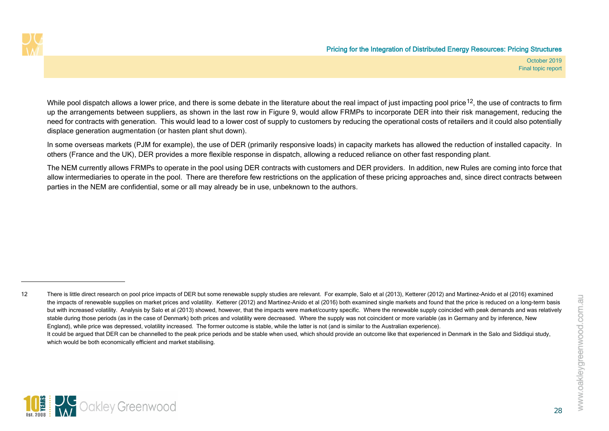<span id="page-31-0"></span>

While pool dispatch allows a lower price, and there is some debate in the literature about the real impact of iust impacting pool price<sup>[12](#page-31-0)</sup>, the use of contracts to firm up the arrangements between suppliers, as shown in the last row in [Figure 9,](#page-29-1) would allow FRMPs to incorporate DER into their risk management, reducing the need for contracts with generation. This would lead to a lower cost of supply to customers by reducing the operational costs of retailers and it could also potentially displace generation augmentation (or hasten plant shut down).

In some overseas markets (PJM for example), the use of DER (primarily responsive loads) in capacity markets has allowed the reduction of installed capacity. In others (France and the UK), DER provides a more flexible response in dispatch, allowing a reduced reliance on other fast responding plant.

The NEM currently allows FRMPs to operate in the pool using DER contracts with customers and DER providers. In addition, new Rules are coming into force that allow intermediaries to operate in the pool. There are therefore few restrictions on the application of these pricing approaches and, since direct contracts between parties in the NEM are confidential, some or all may already be in use, unbeknown to the authors.



<sup>12</sup> There is little direct research on pool price impacts of DER but some renewable supply studies are relevant. For example, Salo et al (2013), Ketterer (2012) and Martinez-Anido et al (2016) examined the impacts of renewable supplies on market prices and volatility. Ketterer (2012) and Martinez-Anido et al (2016) both examined single markets and found that the price is reduced on a long-term basis but with increased volatility. Analysis by Salo et al (2013) showed, however, that the impacts were market/country specific. Where the renewable supply coincided with peak demands and was relatively stable during those periods (as in the case of Denmark) both prices and volatility were decreased. Where the supply was not coincident or more variable (as in Germany and by inference, New England), while price was depressed, volatility increased. The former outcome is stable, while the latter is not (and is similar to the Australian experience). It could be argued that DER can be channelled to the peak price periods and be stable when used, which should provide an outcome like that experienced in Denmark in the Salo and Siddiqui study, which would be both economically efficient and market stabilising.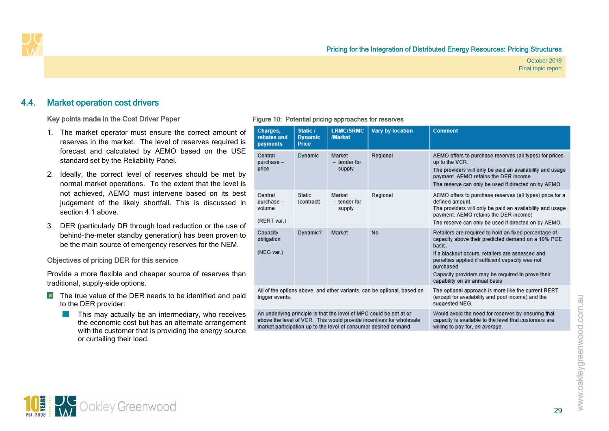### 4.4. Market operation cost drivers

#### Key points made in the Cost Driver Paper

- 1. The market operator must ensure the correct amount of reserves in the market. The level of reserves required is forecast and calculated by AEMO based on the USE standard set by the Reliability Panel.
- 2. Ideally, the correct level of reserves should be met by normal market operations. To the extent that the level is not achieved, AEMO must intervene based on its best judgement of the likely shortfall. This is discussed in section [4.1](#page-27-5) above.
- 3. DER (particularly DR through load reduction or the use of behind-the-meter standby generation) has been proven to be the main source of emergency reserves for the NEM.

#### Objectives of pricing DER for this service

<span id="page-32-0"></span>Provide a more flexible and cheaper source of reserves than traditional, supply-side options.

- $\Box$  The true value of the DER needs to be identified and paid to the DER provider:
	- This may actually be an intermediary, who receives **Contract** the economic cost but has an alternate arrangement with the customer that is providing the energy source or curtailing their load.

#### <span id="page-32-1"></span>Figure 10: Potential pricing approaches for reserves

|                                                                                                                                                                                                               | Charges,<br>rebates and<br>payments           | Static /<br><b>Dynamic</b><br><b>Price</b> | <b>LRMC/SRMC</b><br>/Market                                             | <b>Vary by location</b>                                                                                                    | <b>Comment</b>                                                                                                                                                                                                                                                                                                                    |
|---------------------------------------------------------------------------------------------------------------------------------------------------------------------------------------------------------------|-----------------------------------------------|--------------------------------------------|-------------------------------------------------------------------------|----------------------------------------------------------------------------------------------------------------------------|-----------------------------------------------------------------------------------------------------------------------------------------------------------------------------------------------------------------------------------------------------------------------------------------------------------------------------------|
|                                                                                                                                                                                                               | Central<br>purchase -<br>price                | Dynamic                                    | Market<br>- tender for<br>supply                                        | Regional                                                                                                                   | AEMO offers to purchase reserves (all types) for prices<br>up to the VCR.<br>The providers will only be paid an availability and usage<br>payment. AEMO retains the DER income.<br>The reserve can only be used if directed on by AEMO.                                                                                           |
|                                                                                                                                                                                                               | Central<br>purchase-<br>volume<br>(RERT var.) | Static<br>(contract)                       | Market<br>- tender for<br>supply                                        | Regional                                                                                                                   | AEMO offers to purchase reserves (all types) price for a<br>defined amount<br>The providers will only be paid an availability and usage<br>payment. AEMO retains the DER income)<br>The reserve can only be used if directed on by AEMO.                                                                                          |
|                                                                                                                                                                                                               | Capacity<br>obligation<br>(NEG var.)          | Dynamic?                                   | Market                                                                  | No                                                                                                                         | Retailers are required to hold an fixed percentage of<br>capacity above their predicted demand on a 10% POE<br>basis.<br>If a blackout occurs, retailers are assessed and<br>penalties applied if sufficient capacity was not<br>purchased.<br>Capacity providers may be required to prove their<br>capability on an annual basis |
|                                                                                                                                                                                                               | trigger events.                               |                                            | All of the options above, and other variants, can be optional, based on | The optional approach is more like the current RERT<br>(except for availability and pool income) and the<br>suggested NEG. |                                                                                                                                                                                                                                                                                                                                   |
| An underlying principle is that the level of MPC could be set at or<br>above the level of VCR. This would provide incentives for wholesale<br>market participation up to the level of consumer desired demand |                                               |                                            |                                                                         |                                                                                                                            | Would avoid the need for reserves by ensuring that<br>capacity is available to the level that customers are<br>willing to pay for, on average.                                                                                                                                                                                    |

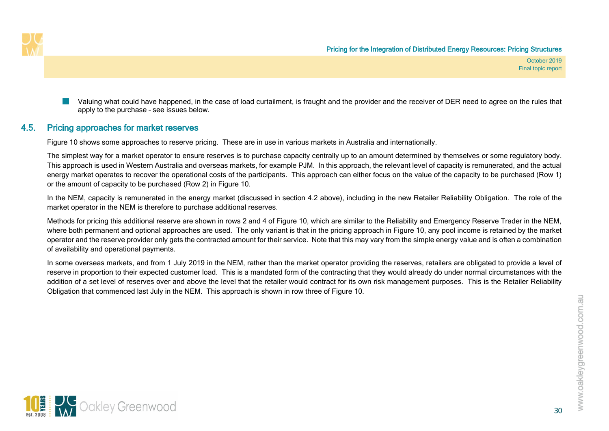

Valuing what could have happened, in the case of load curtailment, is fraught and the provider and the receiver of DER need to agree on the rules that apply to the purchase – see issues below.

### 4.5. Pricing approaches for market reserves

[Figure 10](#page-32-1) shows some approaches to reserve pricing. These are in use in various markets in Australia and internationally.

The simplest way for a market operator to ensure reserves is to purchase capacity centrally up to an amount determined by themselves or some requlatory body. This approach is used in Western Australia and overseas markets, for example PJM. In this approach, the relevant level of capacity is remunerated, and the actual energy market operates to recover the operational costs of the participants. This approach can either focus on the value of the capacity to be purchased (Row 1) or the amount of capacity to be purchased (Row 2) in [Figure 10.](#page-32-1)

In the NEM, capacity is remunerated in the energy market (discussed in section [4.2](#page-29-2) above), including in the new Retailer Reliability Obligation. The role of the market operator in the NEM is therefore to purchase additional reserves.

Methods for pricing this additional reserve are shown in rows 2 and 4 of [Figure 10,](#page-32-1) which are similar to the Reliability and Emergency Reserve Trader in the NEM, where both permanent and optional approaches are used. The only variant is that in the pricing approach in [Figure 10,](#page-32-1) any pool income is retained by the market operator and the reserve provider only gets the contracted amount for their service. Note that this may vary from the simple energy value and is often a combination of availability and operational payments.

<span id="page-33-0"></span>In some overseas markets, and from 1 July 2019 in the NEM, rather than the market operator providing the reserves, retailers are obligated to provide a level of reserve in proportion to their expected customer load. This is a mandated form of the contracting that they would already do under normal circumstances with the addition of a set level of reserves over and above the level that the retailer would contract for its own risk management purposes. This is the Retailer Reliability Obligation that commenced last July in the NEM. This approach is shown in row three of [Figure 10.](#page-32-1)

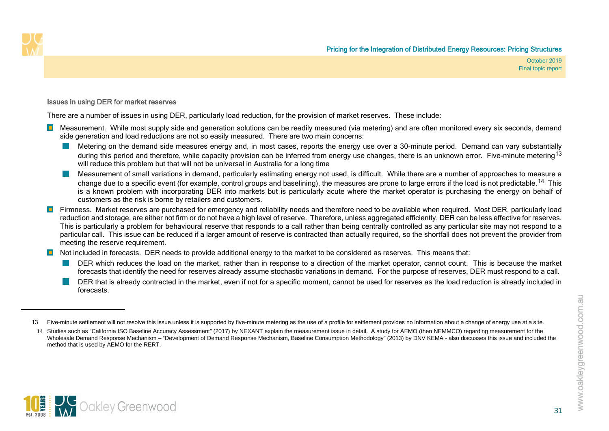<span id="page-34-1"></span><span id="page-34-0"></span>

#### Issues in using DER for market reserves

There are a number of issues in using DER, particularly load reduction, for the provision of market reserves. These include:

- **D** Measurement. While most supply side and generation solutions can be readily measured (via metering) and are often monitored every six seconds, demand side generation and load reductions are not so easily measured. There are two main concerns:
	- Metering on the demand side measures energy and, in most cases, reports the energy use over a 30-minute period. Demand can vary substantially during this period and therefore, while capacity provision can be inferred from energy use changes, there is an unknown error. Five-minute metering <sup>[13](#page-34-0)</sup> will reduce this problem but that will not be universal in Australia for a long time
	- Measurement of small variations in demand, particularly estimating energy not used, is difficult. While there are a number of approaches to measure a change due to a specific event (for example, control groups and baselining), the measures are prone to large errors if the load is not predictable.<sup>14</sup> This is a known problem with incorporating DER into markets but is particularly acute where the market operator is purchasing the energy on behalf of customers as the risk is borne by retailers and customers.
- Firmness. Market reserves are purchased for emergency and reliability needs and therefore need to be available when required. Most DER, particularly load reduction and storage, are either not firm or do not have a high level of reserve. Therefore, unless aggregated efficiently, DER can be less effective for reserves. This is particularly a problem for behavioural reserve that responds to a call rather than being centrally controlled as any particular site may not respond to a particular call. This issue can be reduced if a larger amount of reserve is contracted than actually required, so the shortfall does not prevent the provider from meeting the reserve requirement.
- **D** Not included in forecasts. DER needs to provide additional energy to the market to be considered as reserves. This means that:
	- DER which reduces the load on the market, rather than in response to a direction of the market operator, cannot count. This is because the market forecasts that identify the need for reserves already assume stochastic variations in demand. For the purpose of reserves, DER must respond to a call.
	- DER that is already contracted in the market, even if not for a specific moment, cannot be used for reserves as the load reduction is already included in forecasts.



<sup>13</sup> Five-minute settlement will not resolve this issue unless it is supported by five-minute metering as the use of a profile for settlement provides no information about a change of energy use at a site.

<sup>14</sup> Studies such as "California ISO Baseline Accuracy Assessment" (2017) by NEXANT explain the measurement issue in detail. A study for AEMO (then NEMMCO) regarding measurement for the Wholesale Demand Response Mechanism – "Development of Demand Response Mechanism, Baseline Consumption Methodology" (2013) by DNV KEMA - also discusses this issue and included the method that is used by AEMO for the RERT.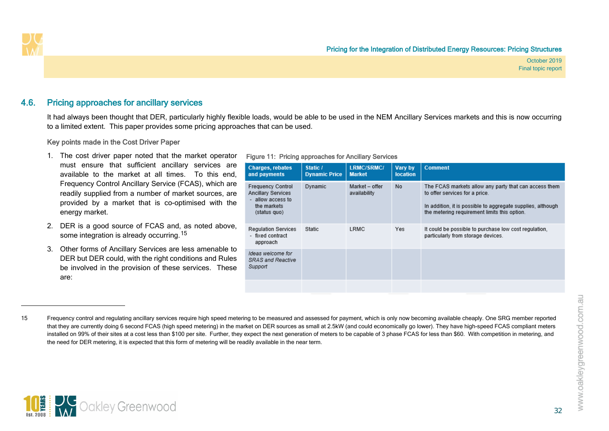

### 4.6. Pricing approaches for ancillary services

It had always been thought that DER, particularly highly flexible loads, would be able to be used in the NEM Ancillary Services markets and this is now occurring to a limited extent. This paper provides some pricing approaches that can be used.

#### Key points made in the Cost Driver Paper

- 1. The cost driver paper noted that the market operator must ensure that sufficient ancillary services are available to the market at all times. To this end, Frequency Control Ancillary Service (FCAS), which are readily supplied from a number of market sources, are provided by a market that is co-optimised with the energy market.
- 2. DER is a good source of FCAS and, as noted above, some integration is already occurring.<sup>[15](#page-35-1)</sup>
- <span id="page-35-0"></span>3. Other forms of Ancillary Services are less amenable to DER but DER could, with the right conditions and Rules be involved in the provision of these services. These are:

#### <span id="page-35-2"></span><span id="page-35-1"></span>Figure 11: Pricing approaches for Ancillary Services

| <b>Charges, rebates</b><br>and payments                                                                   | Static /<br><b>Dynamic Price</b> | <b>LRMC/SRMC/</b><br><b>Market</b> | Vary by<br><b>location</b> | <b>Comment</b>                                                                                                                                                                                         |
|-----------------------------------------------------------------------------------------------------------|----------------------------------|------------------------------------|----------------------------|--------------------------------------------------------------------------------------------------------------------------------------------------------------------------------------------------------|
| <b>Frequency Control</b><br><b>Ancillary Services</b><br>- allow access to<br>the markets<br>(status quo) | Dynamic                          | Market - offer<br>availability     | No                         | The FCAS markets allow any party that can access them<br>to offer services for a price.<br>In addition, it is possible to aggregate supplies, although<br>the metering requirement limits this option. |
| <b>Regulation Services</b><br>- fixed contract<br>approach                                                | Static                           | LRMC                               | Yes                        | It could be possible to purchase low cost regulation,<br>particularly from storage devices.                                                                                                            |
| Ideas welcome for<br>SRAS and Reactive<br>Support                                                         |                                  |                                    |                            |                                                                                                                                                                                                        |
|                                                                                                           |                                  |                                    |                            |                                                                                                                                                                                                        |



<sup>15</sup> Frequency control and regulating ancillary services require high speed metering to be measured and assessed for payment, which is only now becoming available cheaply. One SRG member reported that they are currently doing 6 second FCAS (high speed metering) in the market on DER sources as small at 2.5kW (and could economically go lower). They have high-speed FCAS compliant meters installed on 99% of their sites at a cost less than \$100 per site. Further, they expect the next generation of meters to be capable of 3 phase FCAS for less than \$60. With competition in metering, and the need for DER metering, it is expected that this form of metering will be readily available in the near term.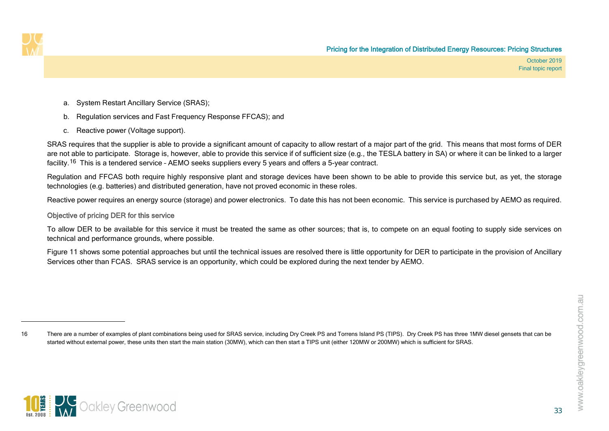<span id="page-36-0"></span>

- a. System Restart Ancillary Service (SRAS);
- b. Regulation services and Fast Frequency Response FFCAS); and
- c. Reactive power (Voltage support).

SRAS requires that the supplier is able to provide a significant amount of capacity to allow restart of a major part of the grid. This means that most forms of DER are not able to participate. Storage is, however, able to provide this service if of sufficient size (e.g., the TESLA battery in SA) or where it can be linked to a larger facility.[16](#page-36-0) This is a tendered service – AEMO seeks suppliers every 5 years and offers a 5-year contract.

Regulation and FFCAS both require highly responsive plant and storage devices have been shown to be able to provide this service but, as yet, the storage technologies (e.g. batteries) and distributed generation, have not proved economic in these roles.

Reactive power requires an energy source (storage) and power electronics. To date this has not been economic. This service is purchased by AEMO as required.

#### Objective of pricing DER for this service

To allow DER to be available for this service it must be treated the same as other sources; that is, to compete on an equal footing to supply side services on technical and performance grounds, where possible.

[Figure 11](#page-35-2) shows some potential approaches but until the technical issues are resolved there is little opportunity for DER to participate in the provision of Ancillary Services other than FCAS. SRAS service is an opportunity, which could be explored during the next tender by AEMO.



<sup>16</sup> There are a number of examples of plant combinations being used for SRAS service, including Dry Creek PS and Torrens Island PS (TIPS). Dry Creek PS has three 1MW diesel gensets that can be started without external power, these units then start the main station (30MW), which can then start a TIPS unit (either 120MW or 200MW) which is sufficient for SRAS.